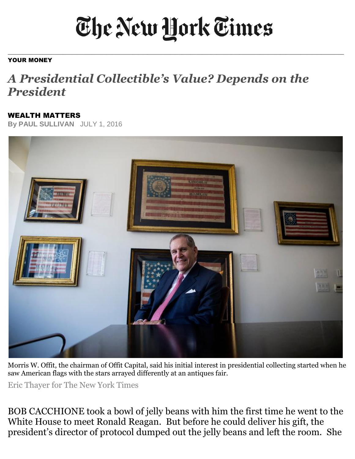## The New Hork Times

 $\Box$  . The contribution of the contribution of the contribution of the contribution of the contribution of the contribution of the contribution of the contribution of the contribution of the contribution of the contributi

## [YOUR MONEY](http://www.nytimes.com/pages/your-money/index.html)

## *A Presidential Collectible's Value? Depends on the President*

## [WEALTH MATTERS](http://www.nytimes.com/column/wealth-matters)

**By [PAUL SULLIVAN](http://topics.nytimes.com/top/reference/timestopics/people/s/paul_sullivan/index.html)** JULY 1, 2016



Morris W. Offit, the chairman of Offit Capital, said his initial interest in presidential collecting started when he saw American flags with the stars arrayed differently at an antiques fair.

Eric Thayer for The New York Times

BOB CACCHIONE took a bowl of jelly beans with him the first time he went to the White House to meet Ronald Reagan. But before he could deliver his gift, the president"s director of protocol dumped out the jelly beans and left the room. She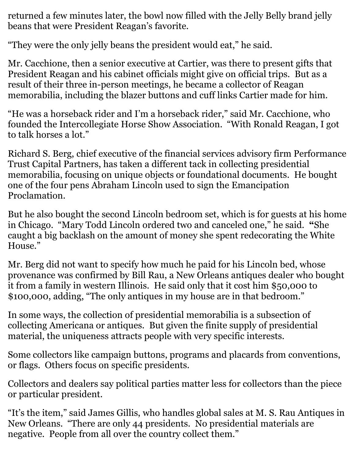returned a few minutes later, the bowl now filled with the Jelly Belly brand jelly beans that were President Reagan's favorite.

"They were the only jelly beans the president would eat," he said.

Mr. Cacchione, then a senior executive at Cartier, was there to present gifts that President Reagan and his cabinet officials might give on official trips. But as a result of their three in-person meetings, he became a collector of Reagan memorabilia, including the blazer buttons and cuff links Cartier made for him.

"He was a horseback rider and I"m a horseback rider," said Mr. Cacchione, who founded the Intercollegiate Horse Show Association. "With Ronald Reagan, I got to talk horses a lot."

Richard S. Berg, chief executive of the financial services advisory firm Performance Trust Capital Partners, has taken a different tack in collecting presidential memorabilia, focusing on unique objects or foundational documents. He bought one of the four pens Abraham Lincoln used to sign the [Emancipation](http://topics.nytimes.com/top/reference/timestopics/subjects/c/civil_war_us_/emancipation_proclamation/index.html?inline=nyt-classifier)  [Proclamation.](http://topics.nytimes.com/top/reference/timestopics/subjects/c/civil_war_us_/emancipation_proclamation/index.html?inline=nyt-classifier)

But he also bought the second Lincoln bedroom set, which is for guests at his home in Chicago. "Mary Todd Lincoln ordered two and canceled one," he said. **"**She caught a big backlash on the amount of money she spent redecorating the White House."

Mr. Berg did not want to specify how much he paid for his Lincoln bed, whose provenance was confirmed by Bill Rau, a New Orleans antiques dealer who bought it from a family in western Illinois. He said only that it cost him \$50,000 to \$100,000, adding, "The only antiques in my house are in that bedroom."

In some ways, the collection of presidential memorabilia is a subsection of collecting Americana or antiques. But given the finite supply of presidential material, the uniqueness attracts people with very specific interests.

Some collectors like campaign buttons, programs and placards from conventions, or flags. Others focus on specific presidents.

Collectors and dealers say political parties matter less for collectors than the piece or particular president.

"It"s the item," said James Gillis, who handles global sales at M. S. Rau Antiques in New Orleans. "There are only 44 presidents. No presidential materials are negative. People from all over the country collect them."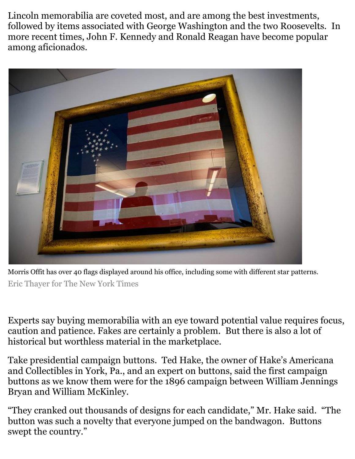Lincoln memorabilia are coveted most, and are among the best investments, followed by items associated with George Washington and the two Roosevelts. In more recent times, John F. Kennedy and Ronald Reagan have become popular among aficionados.



Morris Offit has over 40 flags displayed around his office, including some with different star patterns. Eric Thayer for The New York Times

Experts say buying memorabilia with an eye toward potential value requires focus, caution and patience. Fakes are certainly a problem. But there is also a lot of historical but worthless material in the marketplace.

Take presidential campaign buttons. Ted Hake, the owner of Hake's Americana and Collectibles in York, Pa., and an expert on buttons, said the first campaign buttons as we know them were for the 1896 campaign between William Jennings Bryan and William McKinley.

"They cranked out thousands of designs for each candidate," Mr. Hake said. "The button was such a novelty that everyone jumped on the bandwagon. Buttons swept the country."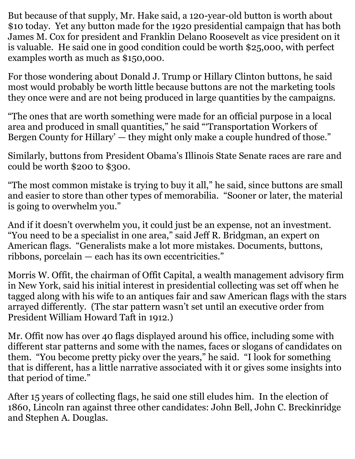But because of that supply, Mr. Hake said, a 120-year-old button is worth about \$10 today. Yet any button made for the 1920 presidential campaign that has both James M. Cox for president and Franklin Delano Roosevelt as vice president on it is valuable. He said one in good condition could be worth \$25,000, with perfect examples worth as much as \$150,000.

For those wondering about Donald J. Trump or Hillary Clinton buttons, he said most would probably be worth little because buttons are not the marketing tools they once were and are not being produced in large quantities by the campaigns.

"The ones that are worth something were made for an official purpose in a local area and produced in small quantities," he said ""Transportation Workers of Bergen County for Hillary' — they might only make a couple hundred of those."

Similarly, buttons from President Obama"s Illinois State Senate races are rare and could be worth \$200 to \$300.

"The most common mistake is trying to buy it all," he said, since buttons are small and easier to store than other types of memorabilia. "Sooner or later, the material is going to overwhelm you."

And if it doesn"t overwhelm you, it could just be an expense, not an investment. "You need to be a specialist in one area," said Jeff R. Bridgman, an expert on American flags. "Generalists make a lot more mistakes. Documents, buttons, ribbons, porcelain — each has its own eccentricities."

Morris W. Offit, the chairman of Offit Capital, a wealth management advisory firm in New York, said his initial interest in presidential collecting was set off when he tagged along with his wife to an antiques fair and saw American flags with the stars arrayed differently. (The star pattern wasn"t set until an executive order from President William Howard Taft in 1912.)

Mr. Offit now has over 40 flags displayed around his office, including some with different star patterns and some with the names, faces or slogans of candidates on them. "You become pretty picky over the years," he said. "I look for something that is different, has a little narrative associated with it or gives some insights into that period of time."

After 15 years of collecting flags, he said one still eludes him. In the election of 1860, Lincoln ran against three other candidates: John Bell, John C. Breckinridge and Stephen A. Douglas.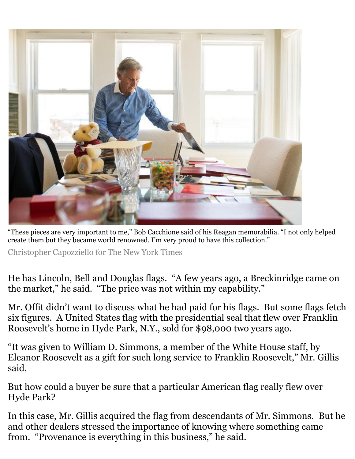

"These pieces are very important to me," Bob Cacchione said of his Reagan memorabilia. "I not only helped create them but they became world renowned. I"m very proud to have this collection."

Christopher Capozziello for The New York Times

He has Lincoln, Bell and Douglas flags. "A few years ago, a Breckinridge came on the market," he said. "The price was not within my capability."

Mr. Offit didn"t want to discuss what he had paid for his flags. But some flags fetch six figures. A United States flag with the presidential seal that flew over Franklin Roosevelt's home in Hyde Park, N.Y., sold for \$98,000 two years ago.

"It was given to William D. Simmons, a member of the White House staff, by Eleanor Roosevelt as a gift for such long service to Franklin Roosevelt," Mr. Gillis said.

But how could a buyer be sure that a particular American flag really flew over Hyde Park?

In this case, Mr. Gillis acquired the flag from descendants of Mr. Simmons. But he and other dealers stressed the importance of knowing where something came from. "Provenance is everything in this business," he said.